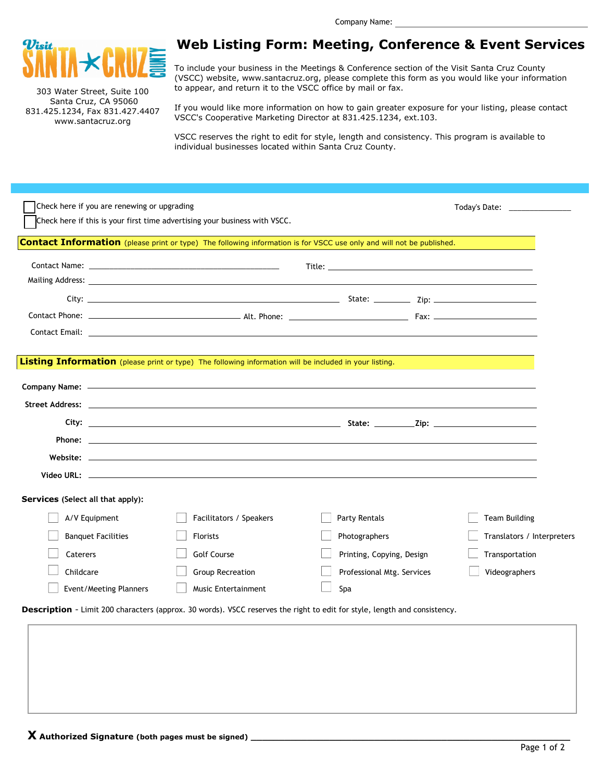

303 Water Street, Suite 100 Santa Cruz, CA 95060 831.425.1234, Fax 831.427.4407 www.santacruz.org

## **Web Listing Form: Meeting, Conference & Event Services**

To include your business in the Meetings & Conference section of the Visit Santa Cruz County (VSCC) website, www.santacruz.org, please complete this form as you would like your information to appear, and return it to the VSCC office by mail or fax.

If you would like more information on how to gain greater exposure for your listing, please contact VSCC's Cooperative Marketing Director at 831.425.1234, ext.103.

VSCC reserves the right to edit for style, length and consistency. This program is available to individual businesses located within Santa Cruz County.

| Check here if you are renewing or upgrading<br>Check here if this is your first time advertising your business with VSCC. |                                                                                                      |                                                                                                                           | Today's Date: National Product of Parameters |
|---------------------------------------------------------------------------------------------------------------------------|------------------------------------------------------------------------------------------------------|---------------------------------------------------------------------------------------------------------------------------|----------------------------------------------|
|                                                                                                                           |                                                                                                      | Contact Information (please print or type) The following information is for VSCC use only and will not be published.      |                                              |
|                                                                                                                           |                                                                                                      |                                                                                                                           |                                              |
|                                                                                                                           |                                                                                                      |                                                                                                                           |                                              |
|                                                                                                                           |                                                                                                      |                                                                                                                           |                                              |
|                                                                                                                           |                                                                                                      |                                                                                                                           |                                              |
| Listing Information (please print or type) The following information will be included in your listing.                    |                                                                                                      |                                                                                                                           |                                              |
|                                                                                                                           |                                                                                                      |                                                                                                                           |                                              |
|                                                                                                                           | Street Address: 2008 and 2008 and 2008 and 2008 and 2008 and 2008 and 2008 and 2008 and 2008 and 200 |                                                                                                                           |                                              |
|                                                                                                                           |                                                                                                      |                                                                                                                           |                                              |
|                                                                                                                           |                                                                                                      |                                                                                                                           |                                              |
|                                                                                                                           |                                                                                                      |                                                                                                                           |                                              |
|                                                                                                                           |                                                                                                      |                                                                                                                           |                                              |
| Services (Select all that apply):                                                                                         |                                                                                                      |                                                                                                                           |                                              |
| A/V Equipment                                                                                                             | Facilitators / Speakers                                                                              | Party Rentals                                                                                                             | <b>Team Building</b>                         |
| <b>Banquet Facilities</b>                                                                                                 | <b>Florists</b>                                                                                      | Photographers                                                                                                             | Translators / Interpreters                   |
| Caterers                                                                                                                  | <b>Golf Course</b>                                                                                   | Printing, Copying, Design                                                                                                 | Transportation                               |
| Childcare                                                                                                                 | <b>Group Recreation</b>                                                                              | Professional Mtg. Services                                                                                                | Videographers                                |
| Event/Meeting Planners                                                                                                    | <b>Music Entertainment</b>                                                                           | Spa                                                                                                                       |                                              |
|                                                                                                                           |                                                                                                      | Description - Limit 200 characters (approx. 30 words). VSCC reserves the right to edit for style, length and consistency. |                                              |
|                                                                                                                           |                                                                                                      |                                                                                                                           |                                              |
|                                                                                                                           |                                                                                                      |                                                                                                                           |                                              |
|                                                                                                                           |                                                                                                      |                                                                                                                           |                                              |
|                                                                                                                           |                                                                                                      |                                                                                                                           |                                              |
|                                                                                                                           |                                                                                                      |                                                                                                                           |                                              |